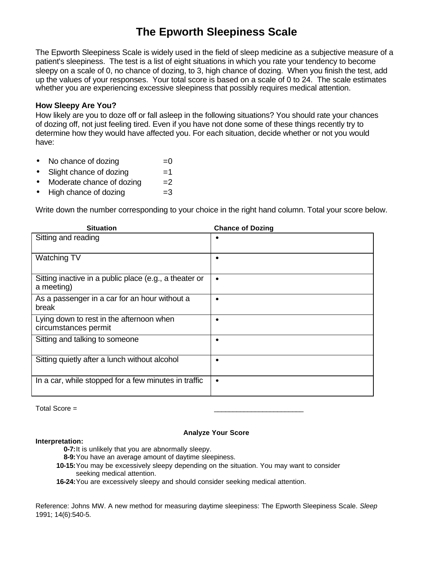## **The Epworth Sleepiness Scale**

The Epworth Sleepiness Scale is widely used in the field of sleep medicine as a subjective measure of a patient's sleepiness. The test is a list of eight situations in which you rate your tendency to become sleepy on a scale of 0, no chance of dozing, to 3, high chance of dozing. When you finish the test, add up the values of your responses. Your total score is based on a scale of 0 to 24. The scale estimates whether you are experiencing excessive sleepiness that possibly requires medical attention.

## **How Sleepy Are You?**

How likely are you to doze off or fall asleep in the following situations? You should rate your chances of dozing off, not just feeling tired. Even if you have not done some of these things recently try to determine how they would have affected you. For each situation, decide whether or not you would have:

- No chance of dozing  $=0$
- $\text{Slight chance of }\text{dozing}$  =1
- Moderate chance of dozing  $=2$
- $High chance of dozing =3$

Write down the number corresponding to your choice in the right hand column. Total your score below.

| <b>Situation</b>                                                     | <b>Chance of Dozing</b> |
|----------------------------------------------------------------------|-------------------------|
| Sitting and reading                                                  | $\bullet$               |
| Watching TV                                                          | $\bullet$               |
| Sitting inactive in a public place (e.g., a theater or<br>a meeting) | $\bullet$               |
| As a passenger in a car for an hour without a<br>break               | $\bullet$               |
| Lying down to rest in the afternoon when<br>circumstances permit     | $\bullet$               |
| Sitting and talking to someone                                       | $\bullet$               |
| Sitting quietly after a lunch without alcohol                        | $\bullet$               |
| In a car, while stopped for a few minutes in traffic                 | $\bullet$               |

Total Score = \_\_\_\_\_\_\_\_\_\_\_\_\_\_\_\_\_\_\_\_\_\_\_\_

## **Interpretation:**

## **Analyze Your Score**

**0-7:**It is unlikely that you are abnormally sleepy.

- **8-9:**You have an average amount of daytime sleepiness.
- **10-15:**You may be excessively sleepy depending on the situation. You may want to consider seeking medical attention.
- **16-24:**You are excessively sleepy and should consider seeking medical attention.

Reference: Johns MW. A new method for measuring daytime sleepiness: The Epworth Sleepiness Scale. *Sleep* 1991; 14(6):540-5.